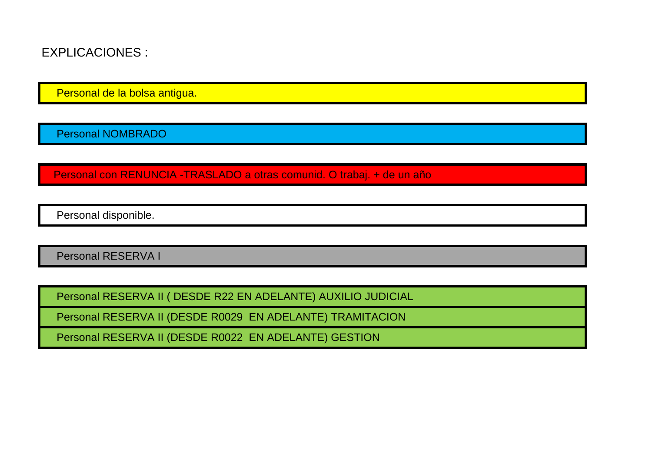EXPLICACIONES :

Personal de la bolsa antigua.

Personal NOMBRADO

Personal con RENUNCIA -TRASLADO a otras comunid. O trabaj. + de un año

Personal disponible.

Personal RESERVA I

Personal RESERVA II ( DESDE R22 EN ADELANTE) AUXILIO JUDICIAL

Personal RESERVA II (DESDE R0029 EN ADELANTE) TRAMITACION

Personal RESERVA II (DESDE R0022 EN ADELANTE) GESTION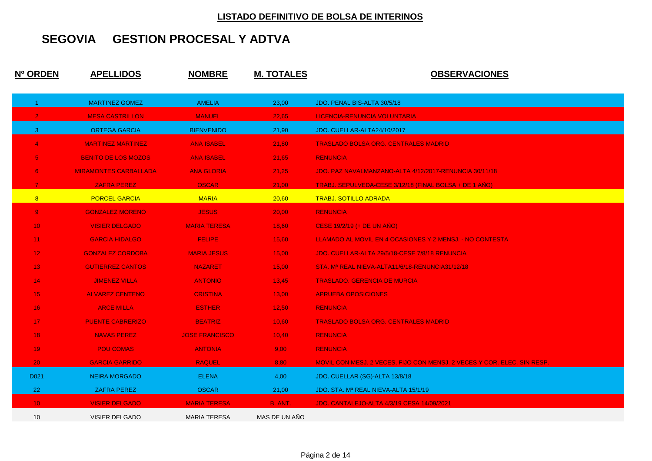| Nº ORDEN             | <u>APELLIDOS</u>             | <b>NOMBRE</b>         | <b>M. TOTALES</b> | <b>OBSERVACIONES</b>                                                    |
|----------------------|------------------------------|-----------------------|-------------------|-------------------------------------------------------------------------|
| $\blacktriangleleft$ | <b>MARTINEZ GOMEZ</b>        | <b>AMELIA</b>         | 23,00             | JDO. PENAL BIS-ALTA 30/5/18                                             |
| 2 <sub>1</sub>       | <b>MESA CASTRILLON</b>       | <b>MANUEL</b>         | 22,65             | LICENCIA-RENUNCIA VOLUNTARIA                                            |
| 3 <sup>7</sup>       | <b>ORTEGA GARCIA</b>         | <b>BIENVENIDO</b>     | 21,90             | JDO. CUELLAR-ALTA24/10/2017                                             |
| $\overline{4}$       | <b>MARTINEZ MARTINEZ</b>     | <b>ANA ISABEL</b>     | 21,80             | <b>TRASLADO BOLSA ORG. CENTRALES MADRID</b>                             |
| 5 <sub>1</sub>       | <b>BENITO DE LOS MOZOS</b>   | <b>ANA ISABEL</b>     | 21,65             | <b>RENUNCIA</b>                                                         |
| 6                    | <b>MIRAMONTES CARBALLADA</b> | <b>ANA GLORIA</b>     | 21,25             | JDO. PAZ NAVALMANZANO-ALTA 4/12/2017-RENUNCIA 30/11/18                  |
| $\overline{7}$       | <b>ZAFRA PEREZ</b>           | <b>OSCAR</b>          | 21,00             | TRABJ. SEPULVEDA-CESE 3/12/18 (FINAL BOLSA + DE 1 AÑO)                  |
| 8                    | <b>PORCEL GARCIA</b>         | <b>MARIA</b>          | 20,60             | <b>TRABJ. SOTILLO ADRADA</b>                                            |
| 9 <sub>o</sub>       | <b>GONZALEZ MORENO</b>       | <b>JESUS</b>          | 20,00             | <b>RENUNCIA</b>                                                         |
| 10 <sub>1</sub>      | <b>VISIER DELGADO</b>        | <b>MARIA TERESA</b>   | 18,60             | CESE 19/2/19 (+ DE UN AÑO)                                              |
| 11 <sub>1</sub>      | <b>GARCIA HIDALGO</b>        | <b>FELIPE</b>         | 15,60             | LLAMADO AL MOVIL EN 4 OCASIONES Y 2 MENSJ. - NO CONTESTA                |
| 12 <sub>1</sub>      | <b>GONZALEZ CORDOBA</b>      | <b>MARIA JESUS</b>    | 15,00             | JDO. CUELLAR-ALTA 29/5/18-CESE 7/8/18 RENUNCIA                          |
| 13 <sup>°</sup>      | <b>GUTIERREZ CANTOS</b>      | <b>NAZARET</b>        | 15,00             | STA. M <sup>a</sup> REAL NIEVA-ALTA11/6/18-RENUNCIA31/12/18             |
| 14 <sub>1</sub>      | <b>JIMENEZ VILLA</b>         | <b>ANTONIO</b>        | 13,45             | <b>TRASLADO. GERENCIA DE MURCIA</b>                                     |
| 15 <sub>1</sub>      | <b>ALVAREZ CENTENO</b>       | <b>CRISTINA</b>       | 13,00             | <b>APRUEBA OPOSICIONES</b>                                              |
| 16 <sup>°</sup>      | <b>ARCE MILLA</b>            | <b>ESTHER</b>         | 12,50             | <b>RENUNCIA</b>                                                         |
| 17 <sub>z</sub>      | <b>PUENTE CABRERIZO</b>      | <b>BEATRIZ</b>        | 10,60             | <b>TRASLADO BOLSA ORG. CENTRALES MADRID</b>                             |
| 18                   | <b>NAVAS PEREZ</b>           | <b>JOSE FRANCISCO</b> | 10,40             | <b>RENUNCIA</b>                                                         |
| 19                   | <b>POU COMAS</b>             | <b>ANTONIA</b>        | 9,00              | <b>RENUNCIA</b>                                                         |
| 20 <sub>1</sub>      | <b>GARCIA GARRIDO</b>        | <b>RAQUEL</b>         | 8,80              | MOVIL CON MESJ. 2 VECES, FIJO CON MENSJ. 2 VECES Y COR. ELEC. SIN RESP. |
| D021                 | <b>NEIRA MORGADO</b>         | <b>ELENA</b>          | 4,00              | JDO. CUELLAR (SG)-ALTA 13/8/18                                          |
| 22                   | <b>ZAFRA PEREZ</b>           | <b>OSCAR</b>          | 21,00             | JDO. STA. Mª REAL NIEVA-ALTA 15/1/19                                    |
| 10 <sup>°</sup>      | <b>VISIER DELGADO</b>        | <b>MARIA TERESA</b>   | B. ANT.           | JDO. CANTALEJO-ALTA 4/3/19 CESA 14/09/2021                              |
| 10                   | <b>VISIER DELGADO</b>        | <b>MARIA TERESA</b>   | MAS DE UN AÑO     |                                                                         |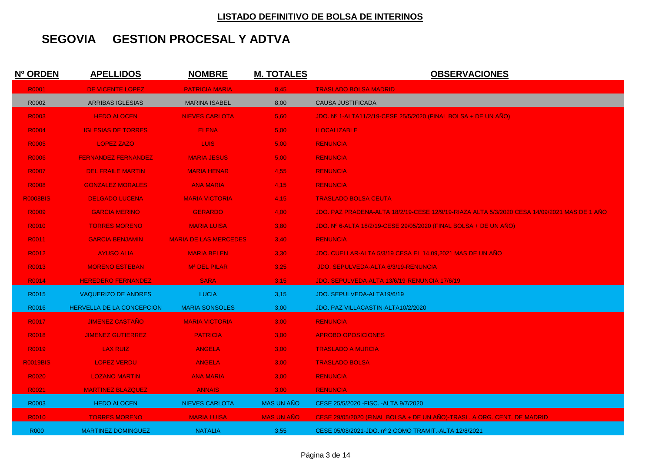| Nº ORDEN        | <u>APELLIDOS</u>           | <b>NOMBRE</b>                | <u>M. TOTALES</u> | <b>OBSERVACIONES</b>                                                                               |
|-----------------|----------------------------|------------------------------|-------------------|----------------------------------------------------------------------------------------------------|
| R0001           | DE VICENTE LOPEZ           | <b>PATRICIA MARIA</b>        | 8,45              | <b>TRASLADO BOLSA MADRID</b>                                                                       |
| R0002           | <b>ARRIBAS IGLESIAS</b>    | <b>MARINA ISABEL</b>         | 8,00              | <b>CAUSA JUSTIFICADA</b>                                                                           |
| R0003           | <b>HEDO ALOCEN</b>         | <b>NIEVES CARLOTA</b>        | 5,60              | JDO. Nº 1-ALTA11/2/19-CESE 25/5/2020 (FINAL BOLSA + DE UN AÑO)                                     |
| R0004           | <b>IGLESIAS DE TORRES</b>  | <b>ELENA</b>                 | 5,00              | <b>ILOCALIZABLE</b>                                                                                |
| R0005           | <b>LOPEZ ZAZO</b>          | LUIS.                        | 5,00              | <b>RENUNCIA</b>                                                                                    |
| R0006           | <b>FERNANDEZ FERNANDEZ</b> | <b>MARIA JESUS</b>           | 5,00              | <b>RENUNCIA</b>                                                                                    |
| R0007           | <b>DEL FRAILE MARTIN</b>   | <b>MARIA HENAR</b>           | 4,55              | <b>RENUNCIA</b>                                                                                    |
| <b>R0008</b>    | <b>GONZALEZ MORALES</b>    | <b>ANA MARIA</b>             | 4,15              | <b>RENUNCIA</b>                                                                                    |
| <b>R0008BIS</b> | <b>DELGADO LUCENA</b>      | <b>MARIA VICTORIA</b>        | 4.15              | <b>TRASLADO BOLSA CEUTA</b>                                                                        |
| <b>R0009</b>    | <b>GARCIA MERINO</b>       | <b>GERARDO</b>               | 4,00              | <u>JDO. PAZ PRADENA-ALTA 18/2/19-CESE 12/9/19-RIAZA ALTA 5/3/2020 CESA 14/09/2021 MAS DE 1 ANO</u> |
| R0010           | <b>TORRES MORENO</b>       | <b>MARIA LUISA</b>           | 3,80              | JDO. Nº 6-ALTA 18/2/19-CESE 29/05/2020 (FINAL BOLSA + DE UN ANO)                                   |
| R0011           | <b>GARCIA BENJAMIN</b>     | <b>MARIA DE LAS MERCEDES</b> | 3,40              | <b>RENUNCIA</b>                                                                                    |
| R0012           | <b>AYUSO ALIA</b>          | <b>MARIA BELEN</b>           | 3,30              | JDO. CUELLAR-ALTA 5/3/19 CESA EL 14.09.2021 MAS DE UN AÑO                                          |
| R0013           | <b>MORENO ESTEBAN</b>      | M <sup>a</sup> DEL PILAR     | 3,25              | JDO. SEPULVEDA-ALTA 6/3/19-RENUNCIA                                                                |
| R0014           | <b>HEREDERO FERNANDEZ</b>  | <b>SARA</b>                  | 3,15              | JDO. SEPULVEDA-ALTA 13/6/19-RENUNCIA 17/6/19                                                       |
| R0015           | <b>VAQUERIZO DE ANDRES</b> | <b>LUCIA</b>                 | 3,15              | JDO. SEPULVEDA-ALTA19/6/19                                                                         |
| R0016           | HERVELLA DE LA CONCEPCION  | <b>MARIA SONSOLES</b>        | 3,00              | JDO. PAZ VILLACASTIN-ALTA10/2/2020                                                                 |
| R0017           | <b>JIMENEZ CASTANO</b>     | <b>MARIA VICTORIA</b>        | 3,00              | <b>RENUNCIA</b>                                                                                    |
| R0018           | <b>JIMENEZ GUTIERREZ</b>   | <b>PATRICIA</b>              | 3,00              | <b>APROBO OPOSICIONES</b>                                                                          |
| R0019           | <b>LAX RUIZ</b>            | <b>ANGELA</b>                | 3,00              | <b>TRASLADO A MURCIA</b>                                                                           |
| <b>R0019BIS</b> | <b>LOPEZ VERDU</b>         | <b>ANGELA</b>                | 3,00              | <b>TRASLADO BOLSA</b>                                                                              |
| R0020           | <b>LOZANO MARTIN</b>       | <b>ANA MARIA</b>             | 3,00              | <b>RENUNCIA</b>                                                                                    |
| R0021           | <b>MARTINEZ BLAZQUEZ</b>   | <b>ANNAIS</b>                | 3,00              | <b>RENUNCIA</b>                                                                                    |
| R0003           | <b>HEDO ALOCEN</b>         | <b>NIEVES CARLOTA</b>        | <b>MAS UN AÑO</b> | CESE 25/5/2020 - FISC. - ALTA 9/7/2020                                                             |
| R0010           | <b>TORRES MORENO</b>       | <b>MARIA LUISA</b>           | <b>MAS UN ANO</b> | CESE 29/05/2020 (FINAL BOLSA + DE UN AÑO)-TRASL. A ORG. CENT. DE MADRID                            |
| <b>R000</b>     | <b>MARTINEZ DOMINGUEZ</b>  | <b>NATALIA</b>               | 3,55              |                                                                                                    |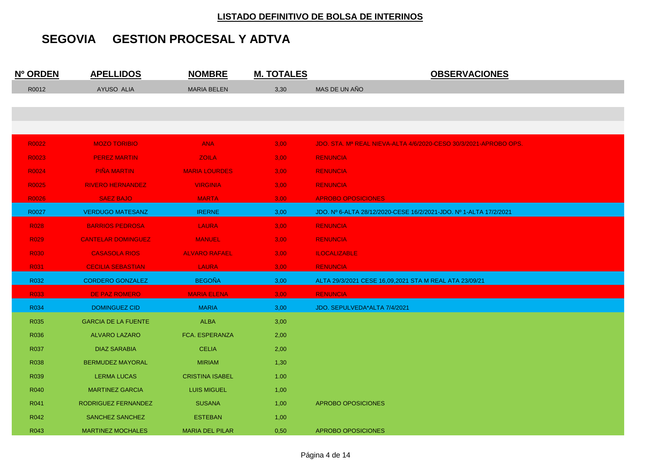| Nº ORDEN         | <b>APELLIDOS</b>           | <b>NOMBRE</b>          | <b>M. TOTALES</b> | <b>OBSERVACIONES</b>                                              |
|------------------|----------------------------|------------------------|-------------------|-------------------------------------------------------------------|
| R0012            | AYUSO ALIA                 | <b>MARIA BELEN</b>     | 3,30              | MAS DE UN AÑO                                                     |
|                  |                            |                        |                   |                                                                   |
|                  |                            |                        |                   |                                                                   |
|                  |                            |                        |                   |                                                                   |
| R0022            | <b>MOZO TORIBIO</b>        | <b>ANA</b>             | 3,00              | JDO. STA. Mª REAL NIEVA-ALTA 4/6/2020-CESO 30/3/2021-APROBO OPS.  |
| R0023            | <b>PEREZ MARTIN</b>        | <b>ZOILA</b>           | 3,00              | <b>RENUNCIA</b>                                                   |
| R0024            | <b>PIÑA MARTIN</b>         | <b>MARIA LOURDES</b>   | 3,00              | <b>RENUNCIA</b>                                                   |
| R0025            | <b>RIVERO HERNANDEZ</b>    | <b>VIRGINIA</b>        | 3,00              | <b>RENUNCIA</b>                                                   |
| R0026            | <b>SAEZ BAJO</b>           | <b>MARTA</b>           | 3,00              | <b>APROBO OPOSICIONES</b>                                         |
| R0027            | <b>VERDUGO MATESANZ</b>    | <b>IRERNE</b>          | 3,00              | JDO. Nº 6-ALTA 28/12/2020-CESE 16/2/2021-JDO. Nº 1-ALTA 17/2/2021 |
| <b>R028</b>      | <b>BARRIOS PEDROSA</b>     | <b>LAURA</b>           | 3,00              | <b>RENUNCIA</b>                                                   |
| <b>R029</b>      | <b>CANTELAR DOMINGUEZ</b>  | <b>MANUEL</b>          | 3,00              | <b>RENUNCIA</b>                                                   |
| R <sub>030</sub> | <b>CASASOLA RIOS</b>       | <b>ALVARO RAFAEL</b>   | 3,00              | <b>ILOCALIZABLE</b>                                               |
| <b>R031</b>      | <b>CECILIA SEBASTIAN</b>   | <b>LAURA</b>           | 3,00              | <b>RENUNCIA</b>                                                   |
| R032             | <b>CORDERO GONZALEZ</b>    | <b>BEGOÑA</b>          | 3,00              | ALTA 29/3/2021 CESE 16,09,2021 STA M REAL ATA 23/09/21            |
| R <sub>033</sub> | DE PAZ ROMERO              | <b>MARIA ELENA</b>     | 3,00              | <b>RENUNCIA</b>                                                   |
| R034             | <b>DOMINGUEZ CID</b>       | <b>MARIA</b>           | 3,00              | JDO. SEPULVEDA*ALTA 7/4/2021                                      |
| R035             | <b>GARCIA DE LA FUENTE</b> | <b>ALBA</b>            | 3,00              |                                                                   |
| R036             | <b>ALVARO LAZARO</b>       | FCA. ESPERANZA         | 2,00              |                                                                   |
| R037             | <b>DIAZ SARABIA</b>        | <b>CELIA</b>           | 2,00              |                                                                   |
| R038             | <b>BERMUDEZ MAYORAL</b>    | <b>MIRIAM</b>          | 1,30              |                                                                   |
| R039             | <b>LERMA LUCAS</b>         | <b>CRISTINA ISABEL</b> | 1.00              |                                                                   |
| R040             | <b>MARTINEZ GARCIA</b>     | <b>LUIS MIGUEL</b>     | 1,00              |                                                                   |
| R041             | RODRIGUEZ FERNANDEZ        | <b>SUSANA</b>          | 1,00              | APROBO OPOSICIONES                                                |
| R042             | SANCHEZ SANCHEZ            | <b>ESTEBAN</b>         | 1,00              |                                                                   |
| R043             | <b>MARTINEZ MOCHALES</b>   | <b>MARIA DEL PILAR</b> | 0,50              | <b>APROBO OPOSICIONES</b>                                         |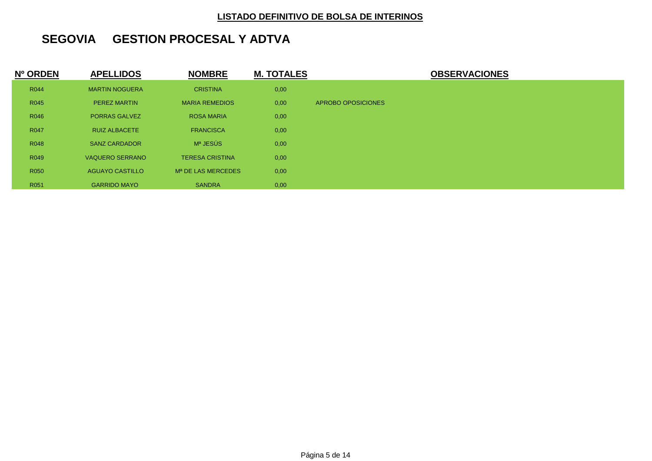| Nº ORDEN    | <b>APELLIDOS</b>       | <b>NOMBRE</b>                  | <b>M. TOTALES</b> | <b>OBSERVACIONES</b> |
|-------------|------------------------|--------------------------------|-------------------|----------------------|
| R044        | <b>MARTIN NOGUERA</b>  | <b>CRISTINA</b>                | 0,00              |                      |
| R045        | <b>PEREZ MARTIN</b>    | <b>MARIA REMEDIOS</b>          | 0,00              | APROBO OPOSICIONES   |
| R046        | <b>PORRAS GALVEZ</b>   | <b>ROSA MARIA</b>              | 0,00              |                      |
| <b>R047</b> | <b>RUIZ ALBACETE</b>   | <b>FRANCISCA</b>               | 0,00              |                      |
| R048        | <b>SANZ CARDADOR</b>   | Mª JESÚS                       | 0,00              |                      |
| R049        | <b>VAQUERO SERRANO</b> | <b>TERESA CRISTINA</b>         | 0,00              |                      |
| R050        | <b>AGUAYO CASTILLO</b> | M <sup>a</sup> DE LAS MERCEDES | 0,00              |                      |
| R051        | <b>GARRIDO MAYO</b>    | <b>SANDRA</b>                  | 0,00              |                      |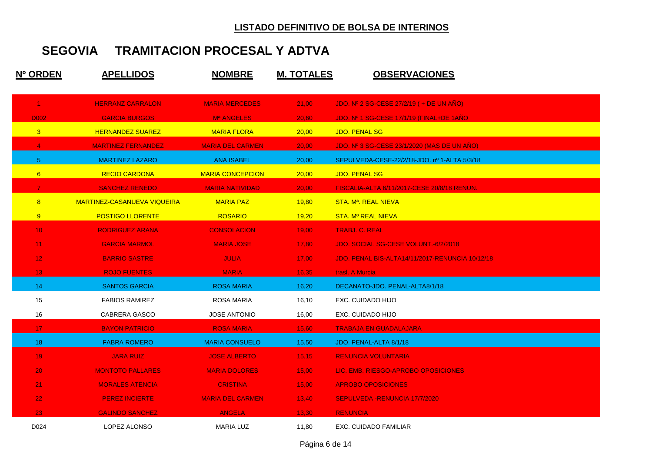| Nº ORDEN             | <b>APELLIDOS</b>                   | <b>NOMBRE</b>           | <b>M. TOTALES</b> | <b>OBSERVACIONES</b>                                   |
|----------------------|------------------------------------|-------------------------|-------------------|--------------------------------------------------------|
| $\blacktriangleleft$ | <b>HERRANZ CARRALON</b>            | <b>MARIA MERCEDES</b>   | 21,00             | JDO. Nº 2 SG-CESE 27/2/19 ( + DE UN AÑO)               |
| D002                 | <b>GARCIA BURGOS</b>               | Mª ANGELES              | 20,60             | JDO. Nº 1 SG-CESE 17/1/19 (FINAL+DE 1ANO               |
| $\overline{3}$       | <b>HERNANDEZ SUAREZ</b>            | <b>MARIA FLORA</b>      | 20,00             | JDO. PENAL SG                                          |
| $\overline{4}$       | <b>MARTINEZ FERNANDEZ</b>          | <b>MARIA DEL CARMEN</b> | 20,00             | JDO. Nº 3 SG-CESE 23/1/2020 (MAS DE UN AÑO)            |
| $5^{\circ}$          | <b>MARTINEZ LAZARO</b>             | ANA ISABEL              | 20,00             | SEPULVEDA-CESE-22/2/18-JDO. nº 1-ALTA 5/3/18           |
| 6                    | <b>RECIO CARDONA</b>               | <b>MARIA CONCEPCION</b> | 20,00             | <b>JDO. PENAL SG</b>                                   |
| $\overline{7}$       | <b>SANCHEZ RENEDO</b>              | <b>MARIA NATIVIDAD</b>  | 20,00             | FISCALIA-ALTA 6/11/2017-CESE 20/8/18 RENUN.            |
| 8                    | <b>MARTINEZ-CASANUEVA VIQUEIRA</b> | <b>MARIA PAZ</b>        | 19,80             | STA. M <sup>a</sup> . REAL NIEVA                       |
| 9                    | <b>POSTIGO LLORENTE</b>            | <b>ROSARIO</b>          | 19,20             | <b>STA. Mº REAL NIEVA</b>                              |
| 10 <sub>1</sub>      | <b>RODRIGUEZ ARANA</b>             | <b>CONSOLACION</b>      | 19,00             | <b>TRABJ. C. REAL</b>                                  |
| 11 <sub>1</sub>      | <b>GARCIA MARMOL</b>               | <b>MARIA JOSE</b>       | 17,80             | JDO. SOCIAL SG-CESE VOLUNT.-6/2/2018                   |
| 12 <sub>1</sub>      | <b>BARRIO SASTRE</b>               | <b>JULIA</b>            | 17,00             | <b>JDO. PENAL BIS-ALTA14/11/2017-RENUNCIA 10/12/18</b> |
| 13 <sub>1</sub>      | <b>ROJO FUENTES</b>                | <b>MARIA</b>            | 16,35             | trasl. A Murcia                                        |
| 14                   | <b>SANTOS GARCIA</b>               | <b>ROSA MARIA</b>       | 16,20             | DECANATO-JDO. PENAL-ALTA8/1/18                         |
| 15                   | <b>FABIOS RAMIREZ</b>              | <b>ROSA MARIA</b>       | 16,10             | EXC. CUIDADO HIJO                                      |
| 16                   | CABRERA GASCO                      | <b>JOSE ANTONIO</b>     | 16,00             | EXC. CUIDADO HIJO                                      |
| 17                   | <b>BAYON PATRICIO</b>              | <b>ROSA MARIA</b>       | 15,60             | <b>TRABAJA EN GUADALAJARA</b>                          |
| 18                   | <b>FABRA ROMERO</b>                | <b>MARIA CONSUELO</b>   | 15,50             | JDO. PENAL-ALTA 8/1/18                                 |
| 19                   | <b>JARA RUIZ</b>                   | <b>JOSE ALBERTO</b>     | 15,15             | <b>RENUNCIA VOLUNTARIA</b>                             |
| 20                   | <b>MONTOTO PALLARES</b>            | <b>MARIA DOLORES</b>    | 15,00             | LIC. EMB. RIESGO-APROBO OPOSICIONES                    |
| 21                   | <b>MORALES ATENCIA</b>             | <b>CRISTINA</b>         | 15,00             | <b>APROBO OPOSICIONES</b>                              |
| 22                   | <b>PEREZ INCIERTE</b>              | <b>MARIA DEL CARMEN</b> | 13,40             | <b>SEPULVEDA -RENUNCIA 17/7/2020</b>                   |
| 23                   | <b>GALINDO SANCHEZ</b>             | <b>ANGELA</b>           | 13,30             | <b>RENUNCIA</b>                                        |
| D024                 | LOPEZ ALONSO                       | MARIA LUZ               | 11,80             | EXC. CUIDADO FAMILIAR                                  |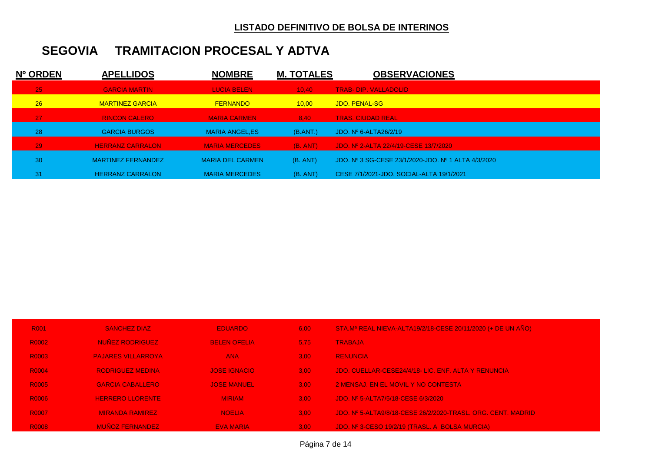| Nº ORDEN | <b>APELLIDOS</b>          | <b>NOMBRE</b>           | <b>M. TOTALES</b> | <b>OBSERVACIONES</b>                                |
|----------|---------------------------|-------------------------|-------------------|-----------------------------------------------------|
| 25       | <b>GARCIA MARTIN</b>      | <b>LUCIA BELEN</b>      | 10.40             | <b>TRAB- DIP. VALLADOLID</b>                        |
| 26       | <b>MARTINEZ GARCIA</b>    | <b>FERNANDO</b>         | 10.00             | JDO. PENAL-SG                                       |
| 27       | <b>RINCON CALERO</b>      | <b>MARIA CARMEN</b>     | 8.40              | <b>TRAS. CIUDAD REAL</b>                            |
| 28       | <b>GARCIA BURGOS</b>      | <b>MARIA ANGEL.ES</b>   | (B.ANT.)          | JDO. $N^{\circ}$ 6-ALTA26/2/19                      |
| 29       | <b>HERRANZ CARRALON</b>   | <b>MARIA MERCEDES</b>   | (B, ANT)          | JDO, Nº 2-ALTA 22/4/19-CESE 13/7/2020               |
| 30       | <b>MARTINEZ FERNANDEZ</b> | <b>MARIA DEL CARMEN</b> | (B. ANT)          | JDO, Nº 3 SG-CESE 23/1/2020-JDO, Nº 1 ALTA 4/3/2020 |
| 31       | <b>HERRANZ CARRALON</b>   | <b>MARIA MERCEDES</b>   | (B. ANT)          | CESE 7/1/2021-JDO, SOCIAL-ALTA 19/1/2021            |

| <b>R001</b>  | <b>SANCHEZ DIAZ</b>       | <b>EDUARDO</b>      | 6.00 | STA.Mª REAL NIEVA-ALTA19/2/18-CESE 20/11/2020 (+ DE UN AÑO)  |
|--------------|---------------------------|---------------------|------|--------------------------------------------------------------|
| R0002        | <b>NUÑEZ RODRIGUEZ</b>    | <b>BELEN OFELIA</b> | 5.75 | <b>TRABAJA</b>                                               |
| R0003        | <b>PAJARES VILLARROYA</b> | <b>ANA</b>          | 3.00 | <b>RENUNCIA</b>                                              |
| <b>R0004</b> | <b>RODRIGUEZ MEDINA</b>   | <b>JOSE IGNACIO</b> | 3.00 | JDO, CUELLAR-CESE24/4/18- LIC. ENF. ALTA Y RENUNCIA          |
| R0005        | <b>GARCIA CABALLERO</b>   | <b>JOSE MANUEL</b>  | 3.00 | 2 MENSAJ. EN EL MOVIL Y NO CONTESTA                          |
| R0006        | <b>HERRERO LLORENTE</b>   | <b>MIRIAM</b>       | 3.00 | JDO, Nº 5-ALTA7/5/18-CESE 6/3/2020                           |
| <b>R0007</b> | <b>MIRANDA RAMIREZ</b>    | <b>NOELIA</b>       | 3.00 | JDO, Nº 5-ALTA9/8/18-CESE 26/2/2020-TRASL, ORG, CENT, MADRID |
| <b>R0008</b> | <b>MUÑOZ FERNANDEZ</b>    | <b>EVA MARIA</b>    | 3.00 | JDO. Nº 3-CESO 19/2/19 (TRASL. A BOLSA MURCIA)               |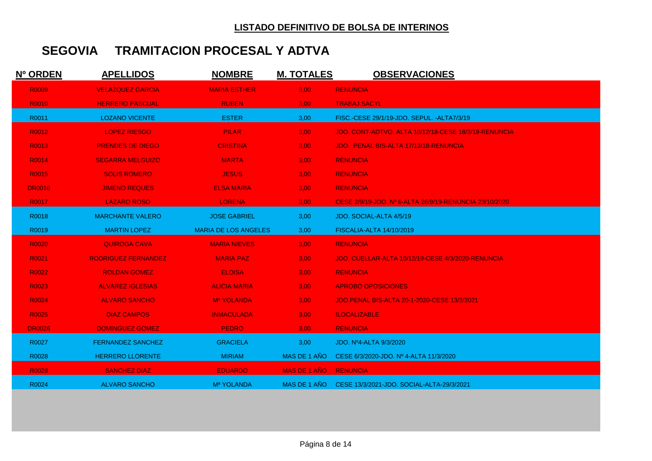| Nº ORDEN      | <b>APELLIDOS</b>           | <b>NOMBRE</b>               | <b>M. TOTALES</b> | <b>OBSERVACIONES</b>                                   |
|---------------|----------------------------|-----------------------------|-------------------|--------------------------------------------------------|
| R0009         | <b>VELAZQUEZ GARCIA</b>    | <b>MARIA ESTHER</b>         | 3,00              | <b>RENUNCIA</b>                                        |
| R0010         | <b>HERRERO PASCUAL</b>     | <b>RUBEN</b>                | 3,00              | <b>TRABAJ.SACYL</b>                                    |
| R0011         | <b>LOZANO VICENTE</b>      | <b>ESTER</b>                | 3,00              | FISC.-CESE 29/1/19-JDO. SEPUL. - ALTA7/3/19            |
| R0012         | <b>LOPEZ RIESGO</b>        | <b>PILAR</b>                | 3,00              | JDO, CONT-ADTVO, ALTA 10/12/18-CESE 18/3/19-RENUNCIA   |
| R0013         | <b>PRENDES DE DIEGO</b>    | <b>CRISTINA</b>             | 3,00              | JDO. PENAL BIS-ALTA 17/12/18-RENUNCIA                  |
| R0014         | <b>SEGARRA MELGUIZO</b>    | <b>MARTA</b>                | 3.00 <sub>1</sub> | <b>RENUNCIA</b>                                        |
| R0015         | <b>SOLIS ROMERO</b>        | <b>JESUS</b>                | 3,00              | <b>RENUNCIA</b>                                        |
| <b>DR0016</b> | <b>JIMENO REQUES</b>       | <b>ELSA MARIA</b>           | 3,00              | <b>RENUNCIA</b>                                        |
| R0017         | <b>LAZARO ROSO</b>         | <b>LORENA</b>               | 3,00              | CESE 2/9/19-JDO. Nº 6-ALTA 26/9/19-RENUNCIA 23/10/2020 |
| R0018         | <b>MARCHANTE VALERO</b>    | <b>JOSE GABRIEL</b>         | 3,00              | JDO. SOCIAL-ALTA 4/5/19                                |
| R0019         | <b>MARTIN LOPEZ</b>        | <b>MARIA DE LOS ANGELES</b> | 3,00              | <b>FISCALIA-ALTA 14/10/2019</b>                        |
| R0020         | <b>QUIROGA CAVA</b>        | <b>MARIA NIEVES</b>         | 3,00              | <b>RENUNCIA</b>                                        |
| R0021         | <b>RODRIGUEZ FERNANDEZ</b> | <b>MARIA PAZ</b>            | 3,00              | JDO. CUELLAR-ALTA 10/12/19-CESE 4/3/2020-RENUNCIA      |
| R0022         | <b>ROLDAN GOMEZ</b>        | <b>ELOISA</b>               | 3.00              | <b>RENUNCIA</b>                                        |
| R0023         | ALVAREZ IGLESIAS           | <b>ALICIA MARIA</b>         | 3,00              | <b>APROBO OPOSICIONES</b>                              |
| R0024         | <b>ALVARO SANCHO</b>       | Ma YOLANDA                  | 3,00              | JDO.PENAL BIS-ALTA 20-1-2020-CESE 13/3/2021            |
| R0025         | <b>DIAZ CAMPOS</b>         | <b>INMACULADA</b>           | 3,00              | <b>ILOCALIZABLE</b>                                    |
| <b>DR0026</b> | <b>DOMINGUEZ GOMEZ</b>     | <b>PEDRO</b>                | 3,00              | <b>RENUNCIA</b>                                        |
| R0027         | <b>FERNANDEZ SANCHEZ</b>   | <b>GRACIELA</b>             | 3,00              | JDO. Nº4-ALTA 9/3/2020                                 |
| R0028         | <b>HERRERO LLORENTE</b>    | <b>MIRIAM</b>               | MAS DE 1 AÑO      | CESE 6/3/2020-JDO, Nº 4-ALTA 11/3/2020                 |
| R0029         | <b>SANCHEZ DIAZ</b>        | <b>EDUARDO</b>              | MAS DE 1 AÑO      | <b>RENUNCIA</b>                                        |
| R0024         | <b>ALVARO SANCHO</b>       | M <sup>a</sup> YOLANDA      | MAS DE 1 AÑO      | CESE 13/3/2021-JDO. SOCIAL-ALTA-29/3/2021              |
|               |                            |                             |                   |                                                        |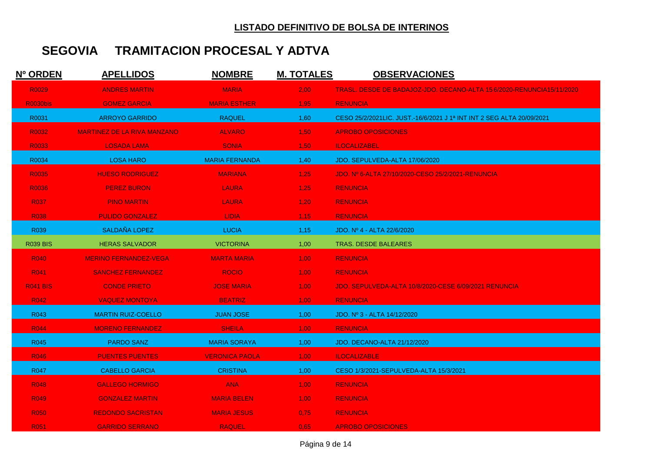| Nº ORDEN         | <b>APELLIDOS</b>                   | <b>NOMBRE</b>         | <b>M. TOTALES</b> | <b>OBSERVACIONES</b>                                                  |
|------------------|------------------------------------|-----------------------|-------------------|-----------------------------------------------------------------------|
| R0029            | <b>ANDRES MARTIN</b>               | <b>MARIA</b>          | 2,00              | TRASL, DESDE DE BADAJOZ-JDO, DECANO-ALTA 15 6/2020-RENUNCIA15/11/2020 |
| <b>R0030bis</b>  | <b>GOMEZ GARCIA</b>                | <b>MARIA ESTHER</b>   | 1,95              | <b>RENUNCIA</b>                                                       |
| R0031            | <b>ARROYO GARRIDO</b>              | <b>RAQUEL</b>         | 1,60              | CESO 25/2/2021LIC. JUST.-16/6/2021 J 1ª INT INT 2 SEG ALTA 20/09/2021 |
| R0032            | <b>MARTINEZ DE LA RIVA MANZANO</b> | <b>ALVARO</b>         | 1,50              | <b>APROBO OPOSICIONES</b>                                             |
| R0033            | <b>LOSADA LAMA</b>                 | <b>SONIA</b>          | 1,50              | <b>ILOCALIZABEL</b>                                                   |
| R0034            | <b>LOSA HARO</b>                   | <b>MARIA FERNANDA</b> | 1,40              | JDO. SEPULVEDA-ALTA 17/06/2020                                        |
| R0035            | <b>HUESO RODRIGUEZ</b>             | <b>MARIANA</b>        | 1,25              | JDO. Nº 6-ALTA 27/10/2020-CESO 25/2/2021-RENUNCIA                     |
| R0036            | <b>PEREZ BURON</b>                 | <b>LAURA</b>          | 1,25              | <b>RENUNCIA</b>                                                       |
| <b>R037</b>      | <b>PINO MARTIN</b>                 | <b>LAURA</b>          | 1,20              | <b>RENUNCIA</b>                                                       |
| <b>R038</b>      | <b>PULIDO GONZALEZ</b>             | <b>LIDIA</b>          | 1,15              | <b>RENUNCIA</b>                                                       |
| R039             | SALDAÑA LOPEZ                      | <b>LUCIA</b>          | 1,15              | JDO. Nº 4 - ALTA 22/6/2020                                            |
| <b>R039 BIS</b>  | <b>HERAS SALVADOR</b>              | <b>VICTORINA</b>      | 1,00              | <b>TRAS. DESDE BALEARES</b>                                           |
| <b>R040</b>      | <b>MERINO FERNANDEZ-VEGA</b>       | <b>MARTA MARIA</b>    | 1,00              | <b>RENUNCIA</b>                                                       |
| R041             | <b>SANCHEZ FERNANDEZ</b>           | <b>ROCIO</b>          | 1,00              | <b>RENUNCIA</b>                                                       |
| <b>R041 BIS</b>  | <b>CONDE PRIETO</b>                | <b>JOSE MARIA</b>     | 1,00              | JDO. SEPULVEDA-ALTA 10/8/2020-CESE 6/09/2021 RENUNCIA                 |
| R042             | <b>VAQUEZ MONTOYA</b>              | <b>BEATRIZ</b>        | $1,00^{-}$        | <b>RENUNCIA</b>                                                       |
| R043             | <b>MARTIN RUIZ-COELLO</b>          | <b>JUAN JOSE</b>      | 1,00              | JDO. Nº 3 - ALTA 14/12/2020                                           |
| <b>R044</b>      | <b>MORENO FERNANDEZ</b>            | <b>SHEILA</b>         | 1,00              | <b>RENUNCIA</b>                                                       |
| R <sub>045</sub> | <b>PARDO SANZ</b>                  | <b>MARIA SORAYA</b>   | 1,00              | JDO. DECANO-ALTA 21/12/2020                                           |
| <b>R046</b>      | <b>PUENTES PUENTES</b>             | <b>VERONICA PAOLA</b> | 1,00              | <b>ILOCALIZABLE</b>                                                   |
| <b>R047</b>      | <b>CABELLO GARCIA</b>              | <b>CRISTINA</b>       | 1,00              | CESO 1/3/2021-SEPULVEDA-ALTA 15/3/2021                                |
| R <sub>048</sub> | <b>GALLEGO HORMIGO</b>             | <b>ANA</b>            | $1,00^{-}$        | <b>RENUNCIA</b>                                                       |
| R <sub>049</sub> | <b>GONZALEZ MARTIN</b>             | <b>MARIA BELEN</b>    | 1,00              | <b>RENUNCIA</b>                                                       |
| <b>R050</b>      | <b>REDONDO SACRISTAN</b>           | <b>MARIA JESUS</b>    | 0.75              | <b>RENUNCIA</b>                                                       |
| R <sub>051</sub> | <b>GARRIDO SERRANO</b>             | <b>RAQUEL</b>         | 0.65              | <b>APROBO OPOSICIONES</b>                                             |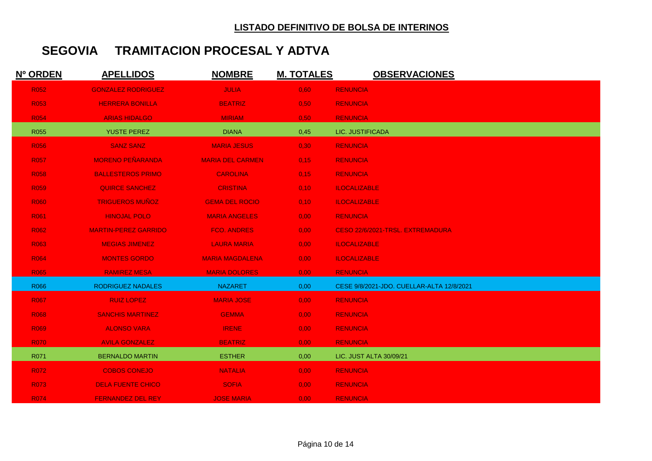| Nº ORDEN    | <b>APELLIDOS</b>            | <b>NOMBRE</b>           | <b>M. TOTALES</b> | <b>OBSERVACIONES</b>                      |
|-------------|-----------------------------|-------------------------|-------------------|-------------------------------------------|
| R052        | <b>GONZALEZ RODRIGUEZ</b>   | <b>JULIA</b>            | 0,60              | <b>RENUNCIA</b>                           |
| <b>R053</b> | <b>HERRERA BONILLA</b>      | <b>BEATRIZ</b>          | 0,50              | <b>RENUNCIA</b>                           |
| <b>R054</b> | <b>ARIAS HIDALGO</b>        | <b>MIRIAM</b>           | 0,50              | <b>RENUNCIA</b>                           |
| R055        | <b>YUSTE PEREZ</b>          | <b>DIANA</b>            | 0,45              | LIC. JUSTIFICADA                          |
| <b>R056</b> | <b>SANZ SANZ</b>            | <b>MARIA JESUS</b>      | 0,30              | <b>RENUNCIA</b>                           |
| <b>R057</b> | <b>MORENO PEÑARANDA</b>     | <b>MARIA DEL CARMEN</b> | 0,15              | <b>RENUNCIA</b>                           |
| <b>R058</b> | <b>BALLESTEROS PRIMO</b>    | <b>CAROLINA</b>         | 0,15              | <b>RENUNCIA</b>                           |
| <b>R059</b> | <b>QUIRCE SANCHEZ</b>       | <b>CRISTINA</b>         | 0,10              | <b>ILOCALIZABLE</b>                       |
| <b>R060</b> | <b>TRIGUEROS MUÑOZ</b>      | <b>GEMA DEL ROCIO</b>   | 0,10              | <b>ILOCALIZABLE</b>                       |
| <b>R061</b> | <b>HINOJAL POLO</b>         | <b>MARIA ANGELES</b>    | 0,00              | <b>RENUNCIA</b>                           |
| <b>R062</b> | <b>MARTIN-PEREZ GARRIDO</b> | <b>FCO. ANDRES</b>      | 0,00              | CESO 22/6/2021-TRSL, EXTREMADURA          |
| R063        | <b>MEGIAS JIMENEZ</b>       | <b>LAURA MARIA</b>      | 0,00              | <b>ILOCALIZABLE</b>                       |
| <b>R064</b> | <b>MONTES GORDO</b>         | <b>MARIA MAGDALENA</b>  | 0,00              | <b>ILOCALIZABLE</b>                       |
| <b>R065</b> | <b>RAMIREZ MESA</b>         | <b>MARIA DOLORES</b>    | 0,00              | <b>RENUNCIA</b>                           |
| R066        | <b>RODRIGUEZ NADALES</b>    | <b>NAZARET</b>          | 0,00              | CESE 9/8/2021-JDO. CUELLAR-ALTA 12/8/2021 |
| <b>R067</b> | <b>RUIZ LOPEZ</b>           | <b>MARIA JOSE</b>       | 0,00              | <b>RENUNCIA</b>                           |
| <b>R068</b> | <b>SANCHIS MARTINEZ</b>     | <b>GEMMA</b>            | 0,00              | <b>RENUNCIA</b>                           |
| <b>R069</b> | <b>ALONSO VARA</b>          | <b>IRENE</b>            | 0,00              | <b>RENUNCIA</b>                           |
| <b>R070</b> | <b>AVILA GONZALEZ</b>       | <b>BEATRIZ</b>          | 0,00              | <b>RENUNCIA</b>                           |
| R071        | <b>BERNALDO MARTIN</b>      | <b>ESTHER</b>           | 0,00              | LIC. JUST ALTA 30/09/21                   |
| <b>R072</b> | <b>COBOS CONEJO</b>         | <b>NATALIA</b>          | 0,00              | <b>RENUNCIA</b>                           |
| <b>R073</b> | <b>DELA FUENTE CHICO</b>    | <b>SOFIA</b>            | 0,00              | <b>RENUNCIA</b>                           |
| <b>R074</b> | <b>FERNANDEZ DEL REY</b>    | <b>JOSE MARIA</b>       | 0,00              | <b>RENUNCIA</b>                           |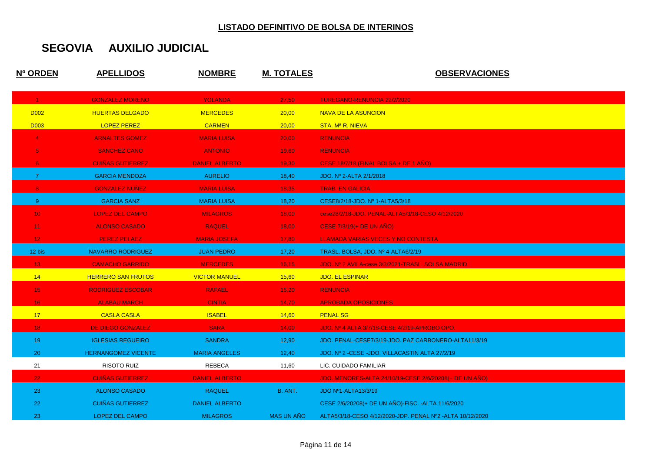| Nº ORDEN        | <b>APELLIDOS</b>           | <b>NOMBRE</b>         | <b>M. TOTALES</b> | <b>OBSERVACIONES</b>                                      |
|-----------------|----------------------------|-----------------------|-------------------|-----------------------------------------------------------|
| $\mathbf{1}$    | <b>GONZALEZ MORENO</b>     | <b>YOLANDA</b>        | 27,50             | <b>TUREGANO-RENUNCIA 22/2/2020</b>                        |
| <b>D002</b>     | <b>HUERTAS DELGADO</b>     | <b>MERCEDES</b>       | 20,00             | <b>NAVA DE LA ASUNCION</b>                                |
| <b>D003</b>     | <b>LOPEZ PEREZ</b>         | <b>CARMEN</b>         | 20,00             | STA. M <sup>a</sup> R. NIEVA                              |
| $\overline{4}$  | <b>ARNALTES GOMEZ</b>      | <b>MARIA LUISA</b>    | 20,00             | <b>RENUNCIA</b>                                           |
|                 | <b>SANCHEZ CANO</b>        | <b>ANTONIO</b>        | 19,60             | <b>RENUNCIA</b>                                           |
| 6               | <b>CUINAS GUTIERREZ</b>    | <b>DANIEL ALBERTO</b> | 19,30             | CESE 18/7/18 (FINAL BOLSA + DE 1 ANO)                     |
| $\overline{7}$  | <b>GARCIA MENDOZA</b>      | <b>AURELIO</b>        | 18,40             | JDO. Nº 2-ALTA 2/1/2018                                   |
| 8               | <b>GONZALEZ NUNEZ</b>      | <b>MARIA LUISA</b>    | 18,35             | <b>TRAB. EN GALICIA</b>                                   |
| $9^{\circ}$     | <b>GARCIA SANZ</b>         | <b>MARIA LUISA</b>    | 18,20             | CESE8/2/18-JDO. Nº 1-ALTA5/3/18                           |
| 10 <sub>1</sub> | <b>LOPEZ DEL CAMPO</b>     | <b>MILAGROS</b>       | 18,00             | cese28/2/18-JDO. PENAL-ALTA5/3/18-CESO 4/12/2020          |
| 11 <sub>1</sub> | <b>ALONSO CASADO</b>       | <b>RAQUEL</b>         | 18,00             | <b>CESE-7/3/19(+ DE UN ANO)</b>                           |
| 12 <sub>1</sub> | <b>PEREZ PELAEZ</b>        | <b>MARIA JOSEFA</b>   | 17,80             | LLAMADA VARIAS VECES Y NO CONTESTA                        |
| 12 bis          | <b>NAVARRO RODRIGUEZ</b>   | <b>JUAN PEDRO</b>     | 17,20             | TRASL. BOLSA, JDO. Nº 4-ALTA6/2/19                        |
| 13 <sub>1</sub> | <b>CAMACHO GARRIDO</b>     | <b>MERCEDES</b>       | 16,15             | JDO. Nº 2 AVILA-cese 3/3/2021-TRASL. SOLSA MADRID         |
| 14              | <b>HERRERO SAN FRUTOS</b>  | <b>VICTOR MANUEL</b>  | 15,60             | <b>JDO. EL ESPINAR</b>                                    |
| 15 <sub>1</sub> | <b>RODRIGUEZ ESCOBAR</b>   | <b>RAFAEL</b>         | 15,20             | <b>RENUNCIA</b>                                           |
| 16 <sub>1</sub> | <b>ALABAU MARCH</b>        | <b>CINTIA</b>         | 14,70             | <b>APROBADA OPOSICIONES</b>                               |
| 17 <sub>2</sub> | <b>CASLA CASLA</b>         | <b>ISABEL</b>         | 14,60             | <b>PENAL SG</b>                                           |
| 18 <sup>°</sup> | DE DIEGO GONZALEZ          | <b>SARA</b>           | 14,00             | JDO. Nº 4 ALTA 3/7/18-CESE 4/2/19-APROBO OPO.             |
| 19              | <b>IGLESIAS REGUEIRO</b>   | <b>SANDRA</b>         | 12,90             | JDO. PENAL-CESE7/3/19-JDO. PAZ CARBONERO-ALTA11/3/19      |
| 20              | <b>HERNANGOMEZ VICENTE</b> | <b>MARIA ANGELES</b>  | 12,40             | JDO. Nº 2 - CESE - JDO. VILLACASTIN ALTA 27/2/19          |
| 21              | RISOTO RUIZ                | REBECA                | 11,60             | LIC. CUIDADO FAMILIAR                                     |
| 22 <sup>2</sup> | <b>CUINAS GUTIERREZ</b>    | <b>DANIEL ALBERTO</b> |                   | JDO. MENORES-ALTA 24/10/19-CESE 2/6/20208(+ DE UN ANO)    |
| 23              | ALONSO CASADO              | <b>RAQUEL</b>         | B. ANT.           | JDO Nº1-ALTA13/3/19                                       |
| 22              | <b>CUIÑAS GUTIERREZ</b>    | <b>DANIEL ALBERTO</b> |                   | CESE 2/6/20208(+ DE UN ANO)-FISC. - ALTA 11/6/2020        |
| 23              | LOPEZ DEL CAMPO            | <b>MILAGROS</b>       | <b>MAS UN AÑO</b> | ALTA5/3/18-CESO 4/12/2020-JDP. PENAL Nº2 -ALTA 10/12/2020 |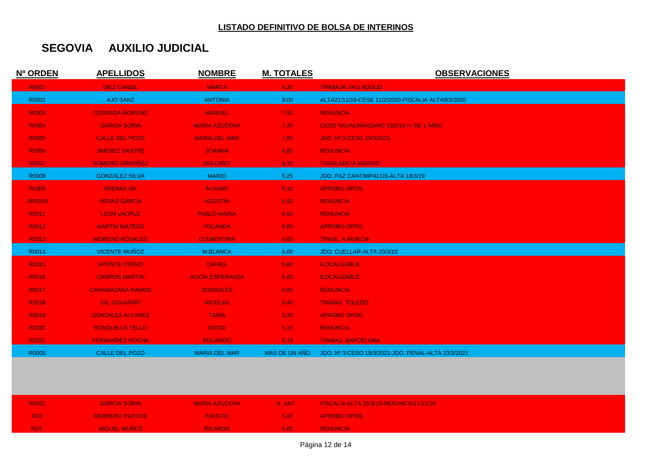| Nº ORDEN      | <b>APELLIDOS</b>        | <b>NOMBRE</b>           | <b>M. TOTALES</b> | <b>OBSERVACIONES</b>                               |
|---------------|-------------------------|-------------------------|-------------------|----------------------------------------------------|
| R0001         | <b>DIEZ CANDIL</b>      | <b>MARTA</b>            | 9,20              | <b>TRABAJA VALLADOLID</b>                          |
| R0002         | <b>AJO SANZ</b>         | <b>ANTONIA</b>          | 8,00              | ALTA21/11/19-CESE 11/2/2020-FISCALIA ALTA9/3/2020  |
| R0003         | <b>CERRADA MORENO</b>   | <b>MANUEL</b>           | 7,50              | <b>RENUNCIA</b>                                    |
| R0004         | <b>GARCIA SORIA</b>     | <b>MARIA AZUCENA</b>    | 7,25              | CESO NAVALMANZANO 13/2/19 (+ DE 1 AÑO)             |
| R0005         | <b>CALLE DEL POZO</b>   | <b>MARIA DEL MAR</b>    | 7,00              | JDO. Nº 3-CESO 19/3/2021                           |
| R0006         | <b>JIMENEZ SASTRE</b>   | <b>JOANNA</b>           | 6,80              | <b>RENUNCIA</b>                                    |
| R0007         | <b>ROMERO ORDOÑEZ</b>   | <b>DOLORES</b>          | 6,30              | <b>TRASLADO A MADRID</b>                           |
| R0008         | <b>GONZALEZ SILVA</b>   | <b>MARIO</b>            | 6,25              | JDO. PAZ CANTIMPALOS-ALTA 18/3/19                  |
| R0009         | <b>ARENAS GIL</b>       | <b>ALVARO</b>           | 6,10              | <b>APROBO OPOS.</b>                                |
| <b>DR0010</b> | <b>HERAS GARCIA</b>     | <b>AGUSTIN</b>          | 6,00              | <b>RENUNCIA</b>                                    |
| R0011         | <b>LEON LACRUZ</b>      | <b>PABLO MARIA</b>      | 6,00              | <b>RENUNCIA</b>                                    |
| R0012         | <b>MARTIN MATEOS</b>    | <b>YOLANDA</b>          | 6,00              | <b>APROBO OPOS.</b>                                |
| R0013         | <b>MORENO ROSALES</b>   | <b>CLEMENTINA</b>       | 6,00              | <b>TRASL. A MURCIA</b>                             |
| R0014         | <b>VICENTE MUÑOZ</b>    | <b>M.BLANCA</b>         | 6,00              | JDO. CUELLAR-ALTA 20/3/19                          |
| R0015         | <b>APONTE OTERO</b>     | <b>DANIEL</b>           | 6,00              | <b>ILOCALIZABLE</b>                                |
| R0016         | <b>CAMPOS MARTIN</b>    | <b>ALICIA ESPERANZA</b> | 6,00              | <b>ILOCALIZABLE</b>                                |
| R0017         | <b>CARAMAZANA RAMOS</b> | <b>SONSOLES</b>         | 6,00              | <b>RENUNCIA</b>                                    |
| R0018         | <b>GIL GUIJARRO</b>     | <b>NICOLAS</b>          | 5,40              | <b>TRABAJ. TOLEDO</b>                              |
| R0019         | <b>GONZALEZ ALVAREZ</b> | <b>TANIA</b>            | 5,25              | <b>APROBO OPOS.</b>                                |
| R0020         | <b>RONQUILLO TELLO</b>  | <b>DAVID</b>            | 5,15              | <b>RENUNCIA</b>                                    |
| R0021         | <b>FERNANDEZ ROCHA</b>  | <b>EDUARDO</b>          | 5,15              | <b>TRABAJ. BARCELONA</b>                           |
| R0005         | <b>CALLE DEL POZO</b>   | <b>MARIA DEL MAR</b>    | MAS DE UN AÑO     | JDO. Nº 3-CESO 19/3/2021-JDO. PENAL-ALTA 23/3/2021 |

| R0022      | <b>GARCIA SORIA</b>   | <b>MARIA AZUCENA</b> | <b>B. ANTA</b>    | EISCALIA-ALTA 25/3/19-RENUNCIA11/12/19 |
|------------|-----------------------|----------------------|-------------------|----------------------------------------|
| <b>R23</b> | <b>HERRERO PASTOS</b> | <b>FAUSTO</b>        | 5.00              | <b>APROBO OPOS.</b>                    |
| R24        | <b>MIGUEL MUÑOZ</b>   | <b>RICARDO</b>       | 5.00 <sub>1</sub> | <b>RENUNCIA</b>                        |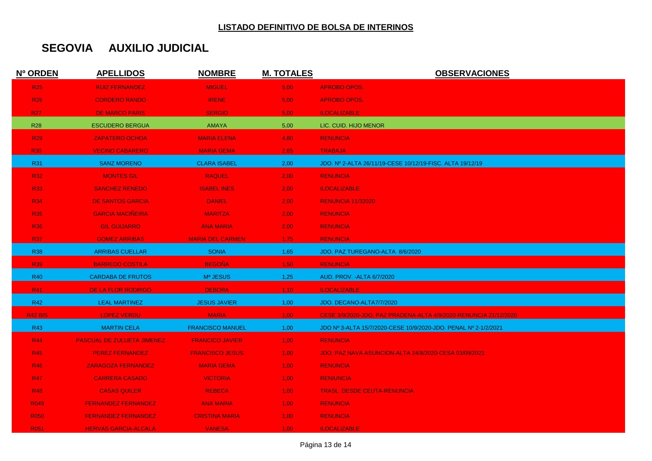| Nº ORDEN         | <b>APELLIDOS</b>                  | <b>NOMBRE</b>           | <b>M. TOTALES</b> | <b>OBSERVACIONES</b>                                             |
|------------------|-----------------------------------|-------------------------|-------------------|------------------------------------------------------------------|
| <b>R25</b>       | <b>RUIZ FERNANDEZ</b>             | <b>MIGUEL</b>           | 5,00              | <b>APROBO OPOS.</b>                                              |
| <b>R26</b>       | <b>CORDERO RANDO</b>              | <b>IRENE</b>            | 5,00              | <b>APROBO OPOS.</b>                                              |
| <b>R27</b>       | <b>DE MARCO PARIS</b>             | <b>SERGIO</b>           | 5,00              | <b>ILOCALIZABLE</b>                                              |
| <b>R28</b>       | <b>ESCUDERO BERGUA</b>            | <b>AMAYA</b>            | 5,00              | LIC. CUID. HIJO MENOR                                            |
| <b>R29</b>       | <b>ZAPATERO OCHOA</b>             | <b>MARIA ELENA</b>      | 4,80              | <b>RENUNCIA</b>                                                  |
| <b>R30</b>       | <b>VECINO CABARERO</b>            | <b>MARIA GEMA</b>       | 2,65              | <b>TRABAJA</b>                                                   |
| R31              | <b>SANZ MORENO</b>                | <b>CLARA ISABEL</b>     | 2,00              | JDO. Nº 2-ALTA 26/11/19-CESE 10/12/19-FISC. ALTA 19/12/19        |
| <b>R32</b>       | <b>MONTES GIL</b>                 | <b>RAQUEL</b>           | 2,00              | <b>RENUNCIA</b>                                                  |
| <b>R33</b>       | <b>SANCHEZ RENEDO</b>             | <b>ISABEL INES</b>      | 2,00              | <b>ILOCALIZABLE</b>                                              |
| <b>R34</b>       | <b>DE SANTOS GARCIA</b>           | <b>DANIEL</b>           | 2,00              | <b>RENUNCIA 11/32020</b>                                         |
| <b>R35</b>       | <b>GARCIA MACIÑEIRA</b>           | <b>MARITZA</b>          | 2,00              | <b>RENUNCIA</b>                                                  |
| <b>R36</b>       | <b>GIL GUIJARRO</b>               | <b>ANA MARIA</b>        | 2,00              | <b>RENUNCIA</b>                                                  |
| <b>R37</b>       | <b>GOMEZ ARRIBAS</b>              | <b>MARIA DEL CARMEN</b> | 1,75              | <b>RENUNCIA</b>                                                  |
| <b>R38</b>       | <b>ARRIBAS CUELLAR</b>            | <b>SONIA</b>            | 1,65              | JDO. PAZ TUREGANO-ALTA 8/6/2020                                  |
| <b>R39</b>       | <b>BARREDO COSTILA</b>            | <b>BEGOÑA</b>           | 1,50              | <b>RENUNCIA</b>                                                  |
| <b>R40</b>       | <b>CARDABA DE FRUTOS</b>          | Mª JESUS                | 1,25              | AUD. PROV. - ALTA 6/7/2020                                       |
| R41              | DE LA FLOR RODRIGO                | <b>DEBORA</b>           | 1,10              | <b>ILOCALIZABLE</b>                                              |
| R42              | <b>LEAL MARTINEZ</b>              | <b>JESUS JAVIER</b>     | 1,00              | JDO. DECANO-ALTA7/7/2020                                         |
| <b>R42 BIS</b>   | <b>LOPEZ VERDU</b>                | <b>MARIA</b>            | 1,00              | CESE 3/9/2020-JDO. PAZ PRADENA-ALTA 4/9/2020-RENUNCIA 21/12/2020 |
| R43              | <b>MARTIN CELA</b>                | <b>FRANCISCO MANUEL</b> | 1,00              | JDO Nº 3-ALTA 15/7/2020-CESE 10/9/2020-JDO. PENAL Nº 2-1/2/2021  |
| <b>R44</b>       | <b>PASCUAL DE ZULUETA JIMENEZ</b> | <b>FRANCICO JAVIER</b>  | 1,00              | <b>RENUNCIA</b>                                                  |
| <b>R45</b>       | <b>PEREZ FERNANDEZ</b>            | <b>FRANCISCO JESUS</b>  | 1,00              | <b>JDO. PAZ NAVA ASUNCION-ALTA 24/8/2020-CESA 03/09/2021</b>     |
| <b>R46</b>       | <b>ZARAGOZA FERNANDEZ</b>         | <b>MARIA GEMA</b>       | 1,00              | <b>RENUNCIA</b>                                                  |
| <b>R47</b>       | <b>CARRERA CASADO</b>             | <b>VICTORIA</b>         | 1,00              | <b>RENIUNCIA</b>                                                 |
| <b>R48</b>       | <b>CASAS QUILER</b>               | <b>REBECA</b>           | 1,00              | <b>TRASL. DESDE CEUTA-RENUNCIA</b>                               |
| R <sub>049</sub> | <b>FERNANDEZ FERNANDEZ</b>        | <b>ANA MARIA</b>        | 1,00              | <b>RENUNCIA</b>                                                  |
| <b>R050</b>      | <b>FERNANDEZ FERNANDEZ</b>        | <b>CRISTINA MARIA</b>   | 1.00 <sub>1</sub> | <b>RENUNCIA</b>                                                  |
| R051             | <b>HERVAS GARCIA-ALCALA</b>       | <b>VANESA</b>           | 1,00              | <b>ILOCALIZABLE</b>                                              |